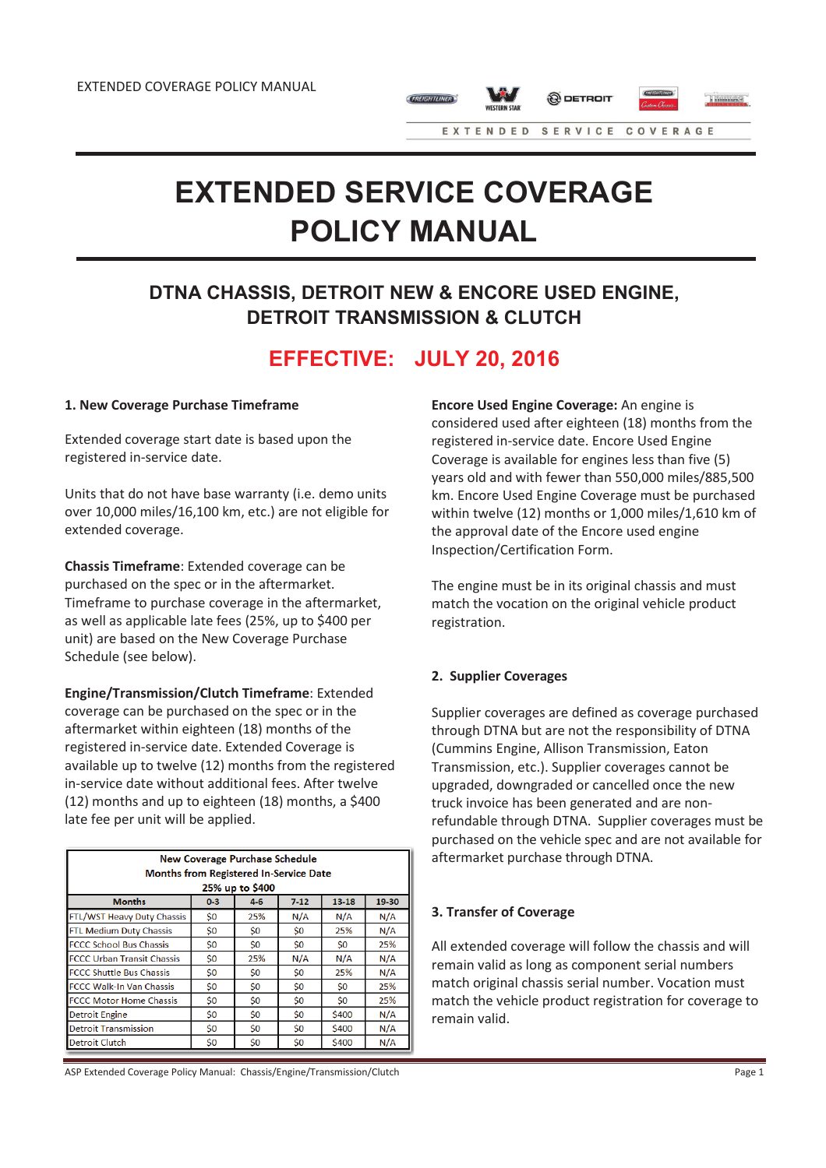



EXTENDED SERVICE COVERAGE

# **EXTENDED SERVICE COVERAGE POLICY MANUAL**

# **DTNA CHASSIS, DETROIT NEW & ENCORE USED ENGINE, DETROIT TRANSMISSION & CLUTCH**

# **EFFECTIVE: JULY 20, 2016**

# **1. New Coverage Purchase Timeframe**

Extended coverage start date is based upon the registered in-service date.

Units that do not have base warranty (i.e. demo units over 10,000 miles/16,100 km, etc.) are not eligible for extended coverage.

**Chassis Timeframe**: Extended coverage can be purchased on the spec or in the aftermarket. Timeframe to purchase coverage in the aftermarket, as well as applicable late fees (25%, up to \$400 per unit) are based on the New Coverage Purchase Schedule (see below).

**Engine/Transmission/Clutch Timeframe**: Extended coverage can be purchased on the spec or in the aftermarket within eighteen (18) months of the registered in-service date. Extended Coverage is available up to twelve (12) months from the registered in-service date without additional fees. After twelve (12) months and up to eighteen (18) months, a \$400 late fee per unit will be applied.

| <b>New Coverage Purchase Schedule</b><br><b>Months from Registered In-Service Date</b><br>25% up to \$400 |         |         |        |       |       |  |  |  |
|-----------------------------------------------------------------------------------------------------------|---------|---------|--------|-------|-------|--|--|--|
| <b>Months</b>                                                                                             | $0 - 3$ | $4 - 6$ | $7-12$ | 13-18 | 19-30 |  |  |  |
| FTL/WST Heavy Duty Chassis                                                                                | \$0     | 25%     | N/A    | N/A   | N/A   |  |  |  |
| <b>FTL Medium Duty Chassis</b>                                                                            | \$0     | S0      | \$0    | 25%   | N/A   |  |  |  |
| <b>FCCC School Bus Chassis</b>                                                                            | \$0     | Ś0      | \$0    | Ś0    | 25%   |  |  |  |
| <b>FCCC Urban Transit Chassis</b>                                                                         | Ś0      | 25%     | N/A    | N/A   | N/A   |  |  |  |
| <b>FCCC Shuttle Bus Chassis</b>                                                                           | \$0     | Ś0      | \$0    | 25%   | N/A   |  |  |  |
| <b>FCCC Walk-In Van Chassis</b>                                                                           | \$0     | \$0     | \$0    | \$0   | 25%   |  |  |  |
| <b>FCCC Motor Home Chassis</b>                                                                            | \$0     | \$0     | \$0    | Ś0    | 25%   |  |  |  |
| <b>Detroit Engine</b>                                                                                     | \$0     | \$0     | \$0    | \$400 | N/A   |  |  |  |
| <b>Detroit Transmission</b>                                                                               | \$0     | \$0     | \$0    | \$400 | N/A   |  |  |  |
| <b>Detroit Clutch</b>                                                                                     | \$0     | \$0     | \$0    | \$400 | N/A   |  |  |  |

ASP Extended Coverage Policy Manual: Chassis/Engine/Transmission/Clutch Page 1

**Encore Used Engine Coverage:** An engine is considered used after eighteen (18) months from the registered in-service date. Encore Used Engine Coverage is available for engines less than five (5) years old and with fewer than 550,000 miles/885,500 km. Encore Used Engine Coverage must be purchased within twelve (12) months or 1,000 miles/1,610 km of the approval date of the Encore used engine Inspection/Certification Form.

The engine must be in its original chassis and must match the vocation on the original vehicle product registration.

# **2. Supplier Coverages**

Supplier coverages are defined as coverage purchased through DTNA but are not the responsibility of DTNA (Cummins Engine, Allison Transmission, Eaton Transmission, etc.). Supplier coverages cannot be upgraded, downgraded or cancelled once the new truck invoice has been generated and are nonrefundable through DTNA. Supplier coverages must be purchased on the vehicle spec and are not available for aftermarket purchase through DTNA.

# **3. Transfer of Coverage**

All extended coverage will follow the chassis and will remain valid as long as component serial numbers match original chassis serial number. Vocation must match the vehicle product registration for coverage to remain valid.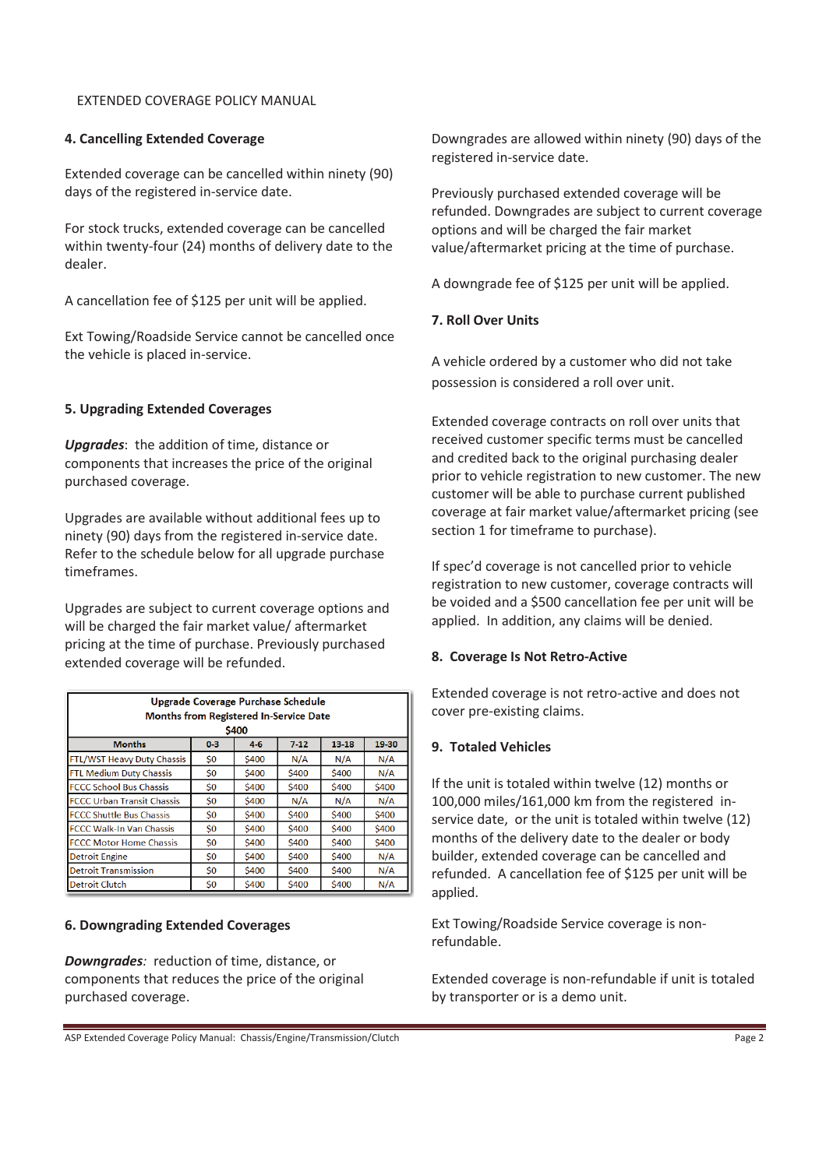# EXTENDED COVERAGE POLICY MANUAL

# **4. Cancelling Extended Coverage**

Extended coverage can be cancelled within ninety (90) days of the registered in-service date.

For stock trucks, extended coverage can be cancelled within twenty-four (24) months of delivery date to the dealer.

A cancellation fee of \$125 per unit will be applied.

Ext Towing/Roadside Service cannot be cancelled once the vehicle is placed in-service.

# **5. Upgrading Extended Coverages**

*Upgrades*: the addition of time, distance or components that increases the price of the original purchased coverage.

Upgrades are available without additional fees up to ninety (90) days from the registered in-service date. Refer to the schedule below for all upgrade purchase timeframes.

Upgrades are subject to current coverage options and will be charged the fair market value/ aftermarket pricing at the time of purchase. Previously purchased extended coverage will be refunded.

| Upgrade Coverage Purchase Schedule<br><b>Months from Registered In-Service Date</b> |         |         |        |              |              |  |  |  |
|-------------------------------------------------------------------------------------|---------|---------|--------|--------------|--------------|--|--|--|
| \$400                                                                               |         |         |        |              |              |  |  |  |
| <b>Months</b>                                                                       | $0 - 3$ | $4 - 6$ | $7-12$ | 13-18        | 19-30        |  |  |  |
| FTL/WST Heavy Duty Chassis                                                          | \$0     | \$400   | N/A    | N/A          | N/A          |  |  |  |
| <b>FTL Medium Duty Chassis</b>                                                      | \$0     | \$400   | \$400  | \$400        | N/A          |  |  |  |
| <b>FCCC School Bus Chassis</b>                                                      | \$0     | \$400   | \$400  | \$400        | \$400        |  |  |  |
| <b>FCCC Urban Transit Chassis</b>                                                   | Ś0      | \$400   | N/A    | N/A          | N/A          |  |  |  |
| <b>FCCC Shuttle Bus Chassis</b>                                                     | \$0     | \$400   | \$400  | \$400        | \$400        |  |  |  |
| <b>FCCC Walk-In Van Chassis</b>                                                     | \$0     | \$400   | \$400  | \$400        | \$400        |  |  |  |
| <b>FCCC Motor Home Chassis</b>                                                      | \$0     | \$400   | \$400  | <b>\$400</b> | <b>\$400</b> |  |  |  |
| <b>Detroit Engine</b>                                                               | \$0     | \$400   | \$400  | \$400        | N/A          |  |  |  |
| <b>Detroit Transmission</b>                                                         | \$0     | \$400   | \$400  | \$400        | N/A          |  |  |  |
| <b>Detroit Clutch</b>                                                               | \$0     | \$400   | \$400  | \$400        | N/A          |  |  |  |

# **6. Downgrading Extended Coverages**

*Downgrades:* reduction of time, distance, or components that reduces the price of the original purchased coverage.

Downgrades are allowed within ninety (90) days of the registered in-service date.

Previously purchased extended coverage will be refunded. Downgrades are subject to current coverage options and will be charged the fair market value/aftermarket pricing at the time of purchase.

A downgrade fee of \$125 per unit will be applied.

# **7. Roll Over Units**

A vehicle ordered by a customer who did not take possession is considered a roll over unit.

Extended coverage contracts on roll over units that received customer specific terms must be cancelled and credited back to the original purchasing dealer prior to vehicle registration to new customer. The new customer will be able to purchase current published coverage at fair market value/aftermarket pricing (see section 1 for timeframe to purchase).

If spec'd coverage is not cancelled prior to vehicle registration to new customer, coverage contracts will be voided and a \$500 cancellation fee per unit will be applied. In addition, any claims will be denied.

# **8. Coverage Is Not Retro-Active**

Extended coverage is not retro-active and does not cover pre-existing claims.

# **9. Totaled Vehicles**

If the unit is totaled within twelve (12) months or 100,000 miles/161,000 km from the registered inservice date, or the unit is totaled within twelve (12) months of the delivery date to the dealer or body builder, extended coverage can be cancelled and refunded. A cancellation fee of \$125 per unit will be applied.

Ext Towing/Roadside Service coverage is nonrefundable.

Extended coverage is non-refundable if unit is totaled by transporter or is a demo unit.

ASP Extended Coverage Policy Manual: Chassis/Engine/Transmission/Clutch Page 2